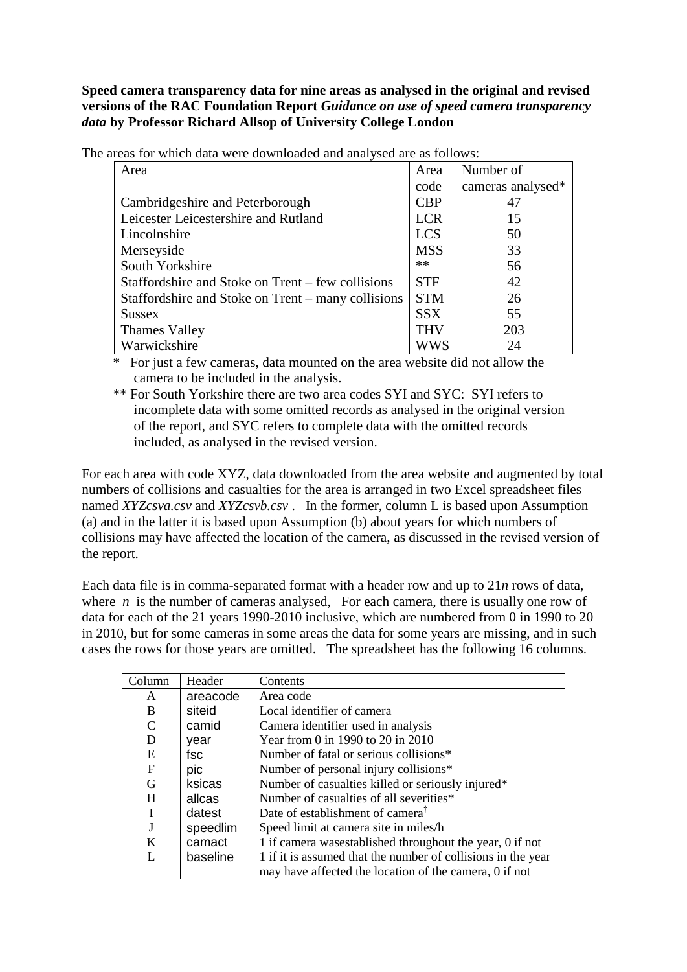**Speed camera transparency data for nine areas as analysed in the original and revised versions of the RAC Foundation Report** *Guidance on use of speed camera transparency data* **by Professor Richard Allsop of University College London**

| Area                                               | Area       | Number of         |
|----------------------------------------------------|------------|-------------------|
|                                                    | code       | cameras analysed* |
| Cambridgeshire and Peterborough                    | <b>CBP</b> | 47                |
| Leicester Leicestershire and Rutland               | <b>LCR</b> | 15                |
| Lincolnshire                                       | <b>LCS</b> | 50                |
| Merseyside                                         | <b>MSS</b> | 33                |
| South Yorkshire                                    | **         | 56                |
| Staffordshire and Stoke on Trent – few collisions  | <b>STF</b> | 42                |
| Staffordshire and Stoke on Trent – many collisions | <b>STM</b> | 26                |
| <b>Sussex</b>                                      | <b>SSX</b> | 55                |
| Thames Valley                                      | <b>THV</b> | 203               |
| Warwickshire                                       | wws        | 24                |

The areas for which data were downloaded and analysed are as follows:

\* For just a few cameras, data mounted on the area website did not allow the camera to be included in the analysis.

\*\* For South Yorkshire there are two area codes SYI and SYC: SYI refers to incomplete data with some omitted records as analysed in the original version of the report, and SYC refers to complete data with the omitted records included, as analysed in the revised version.

For each area with code XYZ, data downloaded from the area website and augmented by total numbers of collisions and casualties for the area is arranged in two Excel spreadsheet files named *XYZcsva.csv* and *XYZcsvb.csv* . In the former, column L is based upon Assumption (a) and in the latter it is based upon Assumption (b) about years for which numbers of collisions may have affected the location of the camera, as discussed in the revised version of the report.

Each data file is in comma-separated format with a header row and up to 21*n* rows of data, where  $n$  is the number of cameras analysed, For each camera, there is usually one row of data for each of the 21 years 1990-2010 inclusive, which are numbered from 0 in 1990 to 20 in 2010, but for some cameras in some areas the data for some years are missing, and in such cases the rows for those years are omitted. The spreadsheet has the following 16 columns.

| Column        | Header   | Contents                                                     |
|---------------|----------|--------------------------------------------------------------|
| A             | areacode | Area code                                                    |
| B             | siteid   | Local identifier of camera                                   |
| $\mathcal{C}$ | camid    | Camera identifier used in analysis                           |
| D             | year     | Year from 0 in 1990 to 20 in 2010                            |
| E             | fsc      | Number of fatal or serious collisions*                       |
| $\mathbf{F}$  | pic      | Number of personal injury collisions*                        |
| G             | ksicas   | Number of casualties killed or seriously injured*            |
| H             | allcas   | Number of casualties of all severities*                      |
|               | datest   | Date of establishment of camera <sup>†</sup>                 |
|               | speedlim | Speed limit at camera site in miles/h                        |
| K             | camact   | 1 if camera was established throughout the year, 0 if not    |
|               | baseline | 1 if it is assumed that the number of collisions in the year |
|               |          | may have affected the location of the camera, 0 if not       |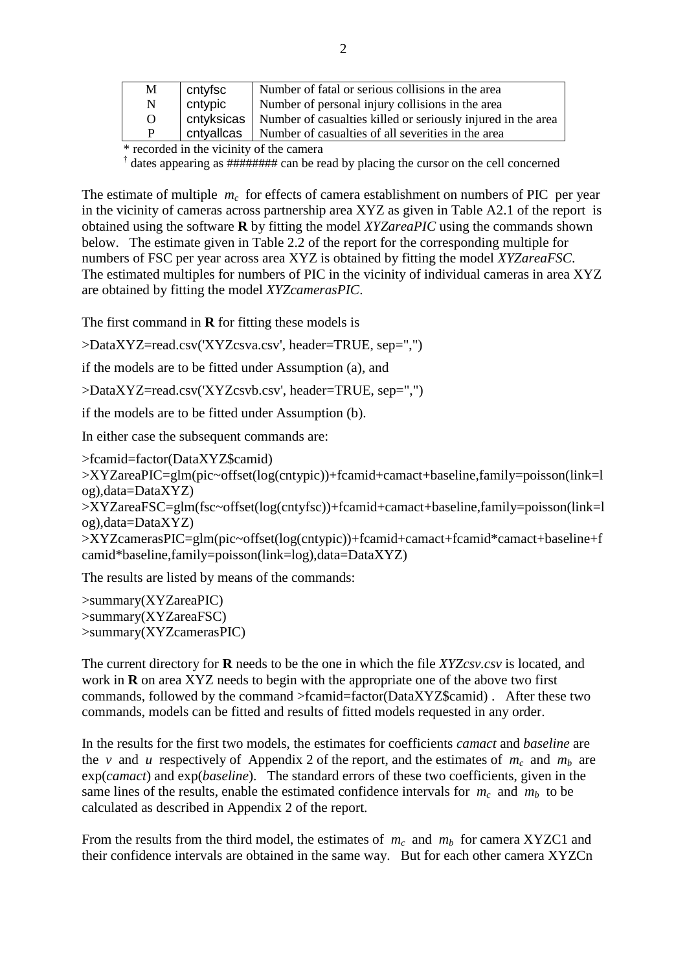| M        | cntyfsc    | Number of fatal or serious collisions in the area            |
|----------|------------|--------------------------------------------------------------|
| N        | cntypic    | Number of personal injury collisions in the area             |
| $\Omega$ | cntyksicas | Number of casualties killed or seriously injured in the area |
| P        | cntvallcas | Number of casualties of all severities in the area           |

\* recorded in the vicinity of the camera

<sup>†</sup> dates appearing as ######## can be read by placing the cursor on the cell concerned

The estimate of multiple  $m_c$  for effects of camera establishment on numbers of PIC per year in the vicinity of cameras across partnership area XYZ as given in Table A2.1 of the report is obtained using the software **R** by fitting the model *XYZareaPIC* using the commands shown below. The estimate given in Table 2.2 of the report for the corresponding multiple for numbers of FSC per year across area XYZ is obtained by fitting the model *XYZareaFSC*. The estimated multiples for numbers of PIC in the vicinity of individual cameras in area XYZ are obtained by fitting the model *XYZcamerasPIC*.

The first command in **R** for fitting these models is

>DataXYZ=read.csv('XYZcsva.csv', header=TRUE, sep=",")

if the models are to be fitted under Assumption (a), and

>DataXYZ=read.csv('XYZcsvb.csv', header=TRUE, sep=",")

if the models are to be fitted under Assumption (b).

In either case the subsequent commands are:

>fcamid=factor(DataXYZ\$camid) >XYZareaPIC=glm(pic~offset(log(cntypic))+fcamid+camact+baseline,family=poisson(link=l og),data=DataXYZ)

>XYZareaFSC=glm(fsc~offset(log(cntyfsc))+fcamid+camact+baseline,family=poisson(link=l og),data=DataXYZ)

>XYZcamerasPIC=glm(pic~offset(log(cntypic))+fcamid+camact+fcamid\*camact+baseline+f camid\*baseline,family=poisson(link=log),data=DataXYZ)

The results are listed by means of the commands:

>summary(XYZareaPIC) >summary(XYZareaFSC) >summary(XYZcamerasPIC)

The current directory for **R** needs to be the one in which the file *XYZcsv.csv* is located, and work in **R** on area XYZ needs to begin with the appropriate one of the above two first commands, followed by the command >fcamid=factor(DataXYZ\$camid) . After these two commands, models can be fitted and results of fitted models requested in any order.

In the results for the first two models, the estimates for coefficients *camact* and *baseline* are the *v* and *u* respectively of Appendix 2 of the report, and the estimates of  $m_c$  and  $m_b$  are exp(*camact*) and exp(*baseline*). The standard errors of these two coefficients, given in the same lines of the results, enable the estimated confidence intervals for  $m_c$  and  $m_b$  to be calculated as described in Appendix 2 of the report.

From the results from the third model, the estimates of  $m_c$  and  $m_b$  for camera XYZC1 and their confidence intervals are obtained in the same way. But for each other camera XYZCn